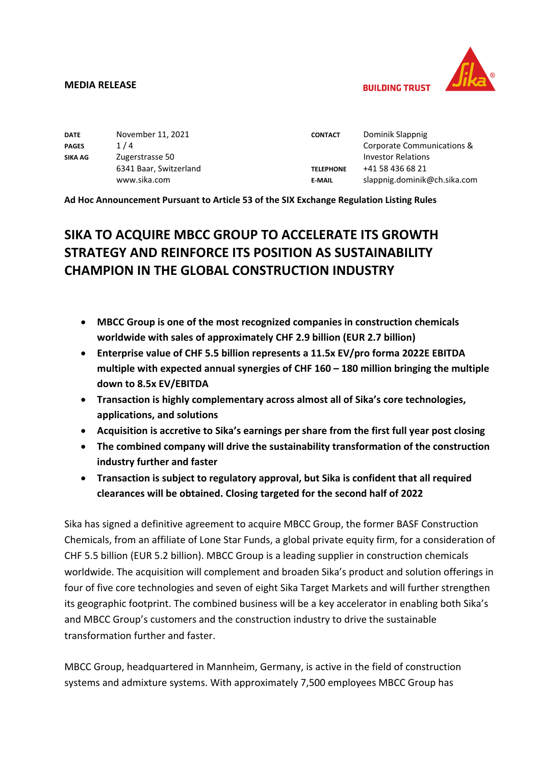

**BUILDING TRUST** 

| <b>DATE</b>    | November 11, 2021      | <b>CONTACT</b>   | Dominik Slappnig             |
|----------------|------------------------|------------------|------------------------------|
| <b>PAGES</b>   | 1/4                    |                  | Corporate Communications &   |
| <b>SIKA AG</b> | Zugerstrasse 50        |                  | <b>Investor Relations</b>    |
|                | 6341 Baar, Switzerland | <b>TELEPHONE</b> | +41 58 436 68 21             |
|                | www.sika.com           | <b>E-MAIL</b>    | slappnig.dominik@ch.sika.com |

**Ad Hoc Announcement Pursuant to Article 53 of the SIX Exchange Regulation Listing Rules**

# **SIKA TO ACQUIRE MBCC GROUP TO ACCELERATE ITS GROWTH STRATEGY AND REINFORCE ITS POSITION AS SUSTAINABILITY CHAMPION IN THE GLOBAL CONSTRUCTION INDUSTRY**

- **MBCC Group is one of the most recognized companies in construction chemicals worldwide with sales of approximately CHF 2.9 billion (EUR 2.7 billion)**
- **Enterprise value of CHF 5.5 billion represents a 11.5x EV/pro forma 2022E EBITDA multiple with expected annual synergies of CHF 160 – 180 million bringing the multiple down to 8.5x EV/EBITDA**
- **Transaction is highly complementary across almost all of Sika's core technologies, applications, and solutions**
- **Acquisition is accretive to Sika's earnings per share from the first full year post closing**
- **The combined company will drive the sustainability transformation of the construction industry further and faster**
- **Transaction is subject to regulatory approval, but Sika is confident that all required clearances will be obtained. Closing targeted for the second half of 2022**

Sika has signed a definitive agreement to acquire MBCC Group, the former BASF Construction Chemicals, from an affiliate of Lone Star Funds, a global private equity firm, for a consideration of CHF 5.5 billion (EUR 5.2 billion). MBCC Group is a leading supplier in construction chemicals worldwide. The acquisition will complement and broaden Sika's product and solution offerings in four of five core technologies and seven of eight Sika Target Markets and will further strengthen its geographic footprint. The combined business will be a key accelerator in enabling both Sika's and MBCC Group's customers and the construction industry to drive the sustainable transformation further and faster.

MBCC Group, headquartered in Mannheim, Germany, is active in the field of construction systems and admixture systems. With approximately 7,500 employees MBCC Group has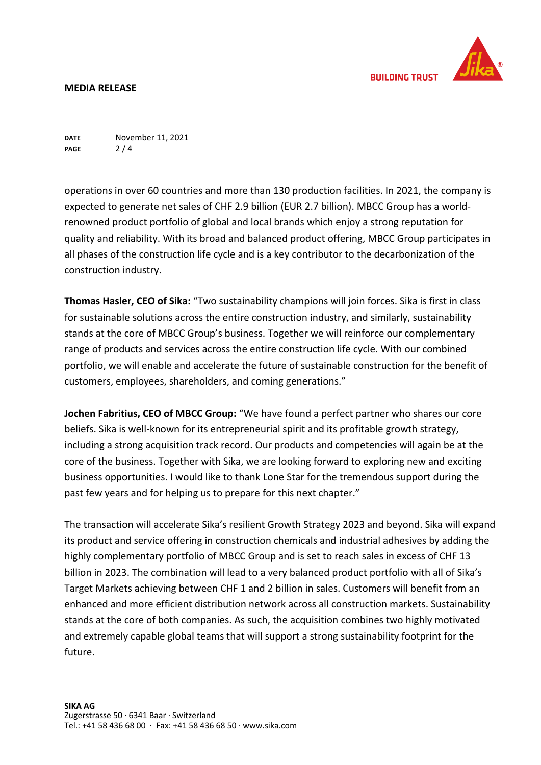

**DATE PAGE** November 11, 2021 2 / 4

operations in over 60 countries and more than 130 production facilities. In 2021, the company is expected to generate net sales of CHF 2.9 billion (EUR 2.7 billion). MBCC Group has a worldrenowned product portfolio of global and local brands which enjoy a strong reputation for quality and reliability. With its broad and balanced product offering, MBCC Group participates in all phases of the construction life cycle and is a key contributor to the decarbonization of the construction industry.

**Thomas Hasler, CEO of Sika:** "Two sustainability champions will join forces. Sika is first in class for sustainable solutions across the entire construction industry, and similarly, sustainability stands at the core of MBCC Group's business. Together we will reinforce our complementary range of products and services across the entire construction life cycle. With our combined portfolio, we will enable and accelerate the future of sustainable construction for the benefit of customers, employees, shareholders, and coming generations."

**Jochen Fabritius, CEO of MBCC Group:** "We have found a perfect partner who shares our core beliefs. Sika is well-known for its entrepreneurial spirit and its profitable growth strategy, including a strong acquisition track record. Our products and competencies will again be at the core of the business. Together with Sika, we are looking forward to exploring new and exciting business opportunities. I would like to thank Lone Star for the tremendous support during the past few years and for helping us to prepare for this next chapter."

The transaction will accelerate Sika's resilient Growth Strategy 2023 and beyond. Sika will expand its product and service offering in construction chemicals and industrial adhesives by adding the highly complementary portfolio of MBCC Group and is set to reach sales in excess of CHF 13 billion in 2023. The combination will lead to a very balanced product portfolio with all of Sika's Target Markets achieving between CHF 1 and 2 billion in sales. Customers will benefit from an enhanced and more efficient distribution network across all construction markets. Sustainability stands at the core of both companies. As such, the acquisition combines two highly motivated and extremely capable global teams that will support a strong sustainability footprint for the future.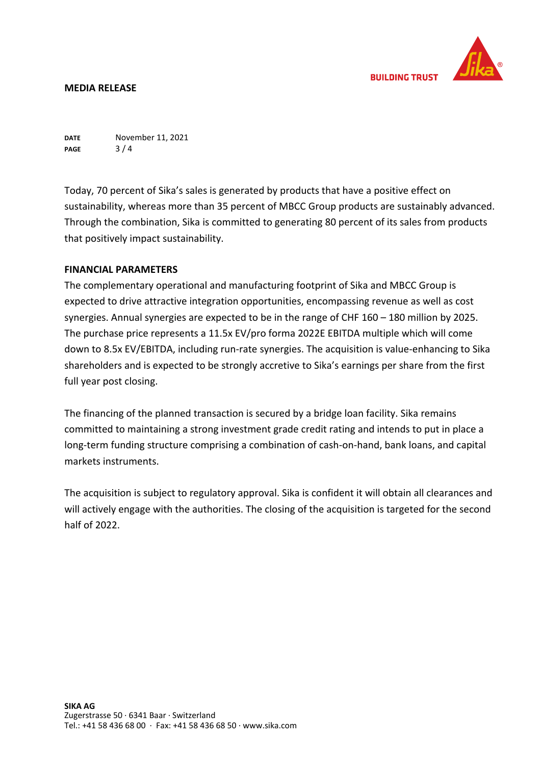

**DATE PAGE** November 11, 2021  $3/4$ 

Today, 70 percent of Sika's sales is generated by products that have a positive effect on sustainability, whereas more than 35 percent of MBCC Group products are sustainably advanced. Through the combination, Sika is committed to generating 80 percent of its sales from products that positively impact sustainability.

# **FINANCIAL PARAMETERS**

The complementary operational and manufacturing footprint of Sika and MBCC Group is expected to drive attractive integration opportunities, encompassing revenue as well as cost synergies. Annual synergies are expected to be in the range of CHF 160 – 180 million by 2025. The purchase price represents a 11.5x EV/pro forma 2022E EBITDA multiple which will come down to 8.5x EV/EBITDA, including run-rate synergies. The acquisition is value-enhancing to Sika shareholders and is expected to be strongly accretive to Sika's earnings per share from the first full year post closing.

The financing of the planned transaction is secured by a bridge loan facility. Sika remains committed to maintaining a strong investment grade credit rating and intends to put in place a long-term funding structure comprising a combination of cash-on-hand, bank loans, and capital markets instruments.

The acquisition is subject to regulatory approval. Sika is confident it will obtain all clearances and will actively engage with the authorities. The closing of the acquisition is targeted for the second half of 2022.